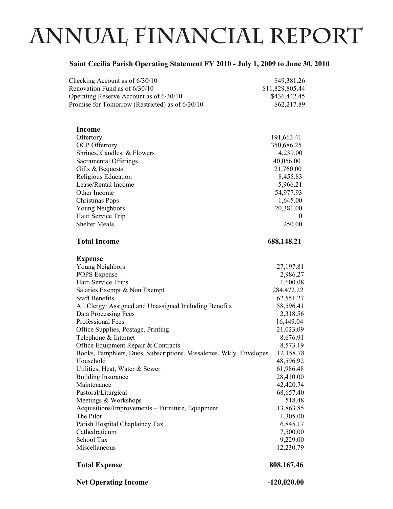## **annual financial report**

## **Saint Cecilia Parish Operating Statement FY 2010 - July 1, 2009 to June 30, 2010**

| Checking Account as of 6/30/10<br>Renovation Fund as of 6/30/10                                            | \$49,381.26<br>\$11,829,805.44 |
|------------------------------------------------------------------------------------------------------------|--------------------------------|
| Operating Reserve Account as of 6/30/10<br>Promise for Tomorrow (Restricted) as of 6/30/10                 | \$436,442.45<br>\$62,217.89    |
| <b>Income</b>                                                                                              |                                |
| Offertory                                                                                                  | 191,663.41                     |
| <b>OCP</b> Offertory                                                                                       | 350,686.25                     |
| Shrines, Candles, & Flowers                                                                                | 4,239.00                       |
| Sacramental Offerings                                                                                      | 40,056.00                      |
| Gifts & Bequests                                                                                           | 21,760.00                      |
| Religious Education<br>Lease/Rental Income                                                                 | 8,455.83<br>$-5,966.21$        |
| Other Income                                                                                               | 54,977.93                      |
| Christmas Pops                                                                                             | 1,645.00                       |
| Young Neighbors                                                                                            | 20,381.00                      |
| Haiti Service Trip                                                                                         | $\theta$                       |
| <b>Shelter Meals</b>                                                                                       | 250.00                         |
| <b>Total Income</b>                                                                                        | 688,148.21                     |
| <b>Expense</b>                                                                                             |                                |
| Young Neighbors                                                                                            | 27,197.81                      |
| POPS Expense                                                                                               | 2,986.27                       |
| Haiti Service Trips                                                                                        | 1,600.08                       |
| Salaries Exempt & Non Exempt                                                                               | 284,472.22                     |
| <b>Staff Benefits</b>                                                                                      | 62,551.27                      |
| All Clergy: Assigned and Unassigned Including Benefits                                                     | 58,596.41                      |
| Data Processing Fees                                                                                       | 2,318.56                       |
| Professional Fees                                                                                          | 16,449.04                      |
| Office Supplies, Postage, Printing                                                                         | 21,023.09                      |
| Telephone & Internet                                                                                       | 8,676.91                       |
| Office Equipment Repair & Contracts<br>Books, Pamphlets, Dues, Subscriptions, Missalettes, Wkly. Envelopes | 8,573.19<br>12,158.78          |
| Household                                                                                                  | 48,596.92                      |
| Utilities, Heat, Water & Sewer                                                                             | 61,986.48                      |
| <b>Building Insurance</b>                                                                                  | 28,410.00                      |
| Maintenance                                                                                                | 42,420.74                      |
| Pastoral/Liturgical                                                                                        | 68,657.40                      |
| Meetings & Workshops                                                                                       | 518.48                         |
| Acquisitions/Improvements - Furniture, Equipment                                                           | 13,863.85                      |
| The Pilot                                                                                                  | 1,305.00                       |
| Parish Hospital Chaplaincy Tax                                                                             | 6,845.17                       |
| Cathedraticum                                                                                              | 7,500.00                       |
| School Tax                                                                                                 | 9,229.00                       |
| Miscellaneous                                                                                              | 12,230.79                      |
| <b>Total Expense</b>                                                                                       | 808,167.46                     |
|                                                                                                            |                                |

Net Operating Income  $-120,020.00$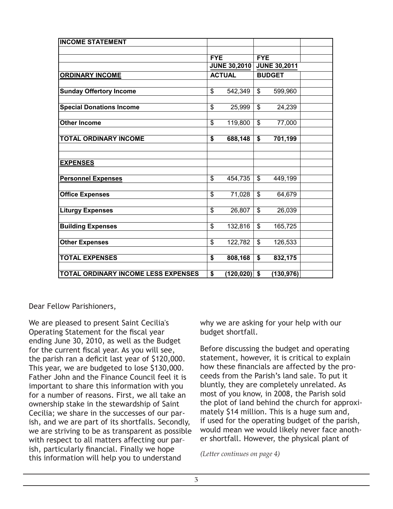| <b>INCOME STATEMENT</b>             |                          |                     |                          |                     |  |
|-------------------------------------|--------------------------|---------------------|--------------------------|---------------------|--|
|                                     |                          |                     |                          |                     |  |
|                                     | <b>FYE</b>               |                     | <b>FYE</b>               |                     |  |
|                                     |                          | <b>JUNE 30,2010</b> |                          | <b>JUNE 30,2011</b> |  |
| <b>ORDINARY INCOME</b>              |                          | <b>ACTUAL</b>       |                          | <b>BUDGET</b>       |  |
|                                     |                          |                     |                          |                     |  |
| <b>Sunday Offertory Income</b>      | \$                       | 542,349             | \$                       | 599,960             |  |
|                                     |                          |                     |                          |                     |  |
| <b>Special Donations Income</b>     | \$                       | 25,999              | \$                       | 24,239              |  |
|                                     |                          |                     |                          |                     |  |
| <b>Other Income</b>                 | \$                       | 119,800             | $\mathfrak{S}$           | 77,000              |  |
|                                     |                          |                     |                          |                     |  |
| <b>TOTAL ORDINARY INCOME</b>        | \$                       | 688,148             | \$                       | 701,199             |  |
|                                     |                          |                     |                          |                     |  |
| <b>EXPENSES</b>                     |                          |                     |                          |                     |  |
|                                     |                          |                     |                          |                     |  |
| <b>Personnel Expenses</b>           | $\overline{\mathcal{S}}$ | 454,735             | $\overline{\mathcal{S}}$ | 449,199             |  |
|                                     |                          |                     |                          |                     |  |
| <b>Office Expenses</b>              | \$                       | 71,028              | $\mathfrak{S}$           | 64,679              |  |
|                                     |                          |                     |                          |                     |  |
| <b>Liturgy Expenses</b>             | \$                       | 26,807              | \$                       | 26,039              |  |
|                                     |                          |                     |                          |                     |  |
| <b>Building Expenses</b>            | \$                       | 132,816             | \$                       | 165,725             |  |
|                                     |                          |                     |                          |                     |  |
| <b>Other Expenses</b>               | \$                       | 122,782             | \$                       | 126,533             |  |
|                                     |                          |                     |                          |                     |  |
| <b>TOTAL EXPENSES</b>               | \$                       | 808,168             | \$                       | 832,175             |  |
|                                     |                          |                     |                          |                     |  |
| TOTAL ORDINARY INCOME LESS EXPENSES | \$                       | (120, 020)          | \$                       | (130, 976)          |  |

Dear Fellow Parishioners,

We are pleased to present Saint Cecilia's Operating Statement for the fiscal year ending June 30, 2010, as well as the Budget for the current fiscal year. As you will see, the parish ran a deficit last year of \$120,000. This year, we are budgeted to lose \$130,000. Father John and the Finance Council feel it is important to share this information with you for a number of reasons. First, we all take an ownership stake in the stewardship of Saint Cecilia; we share in the successes of our parish, and we are part of its shortfalls. Secondly, we are striving to be as transparent as possible with respect to all matters affecting our par– ish, particularly financial. Finally we hope this information will help you to understand

why we are asking for your help with our budget shortfall.

Before discussing the budget and operating statement, however, it is critical to explain 1 how these financials are affected by the proceeds from the Parish's land sale. To put it bluntly, they are completely unrelated. As most of you know, in 2008, the Parish sold the plot of land behind the church for approximately \$14 million. This is a huge sum and, if used for the operating budget of the parish, would mean we would likely never face another shortfall. However, the physical plant of

*(Letter continues on page 4)*